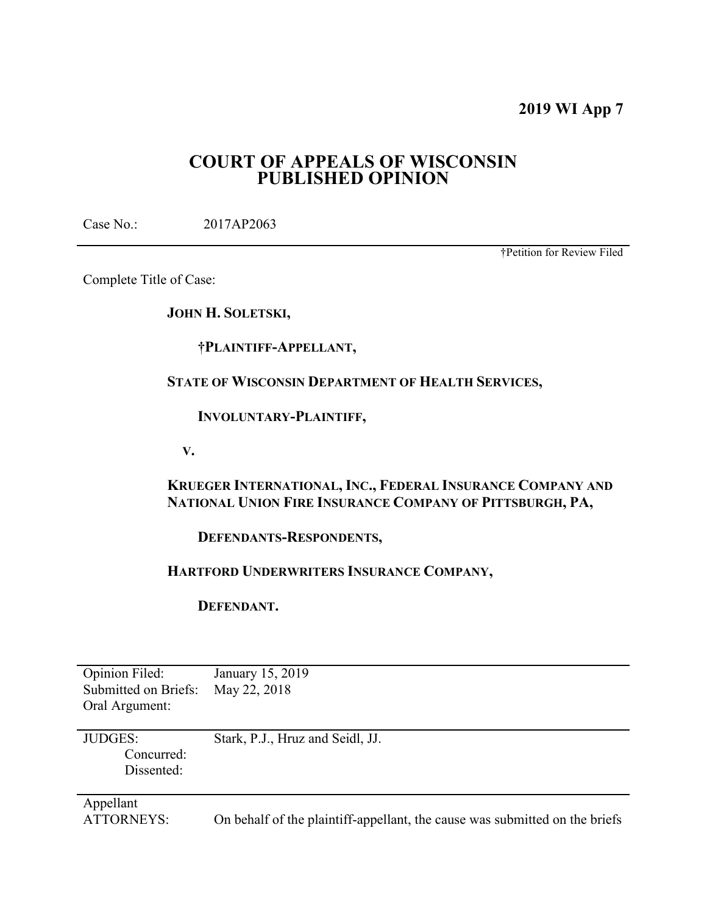# **2019 WI App 7**

# **COURT OF APPEALS OF WISCONSIN PUBLISHED OPINION**

Case No.: 2017AP2063

†Petition for Review Filed

Complete Title of Case:

**JOHN H. SOLETSKI,** 

 **†PLAINTIFF-APPELLANT,** 

**STATE OF WISCONSIN DEPARTMENT OF HEALTH SERVICES,** 

 **INVOLUNTARY-PLAINTIFF,** 

 **V.** 

**KRUEGER INTERNATIONAL, INC., FEDERAL INSURANCE COMPANY AND NATIONAL UNION FIRE INSURANCE COMPANY OF PITTSBURGH, PA,** 

 **DEFENDANTS-RESPONDENTS,** 

# **HARTFORD UNDERWRITERS INSURANCE COMPANY,**

 **DEFENDANT.** 

| Opinion Filed:<br>Submitted on Briefs:<br>Oral Argument: | January 15, 2019<br>May 22, 2018                                            |
|----------------------------------------------------------|-----------------------------------------------------------------------------|
| <b>JUDGES:</b><br>Concurred:<br>Dissented:               | Stark, P.J., Hruz and Seidl, JJ.                                            |
| Appellant<br><b>ATTORNEYS:</b>                           | On behalf of the plaintiff-appellant, the cause was submitted on the briefs |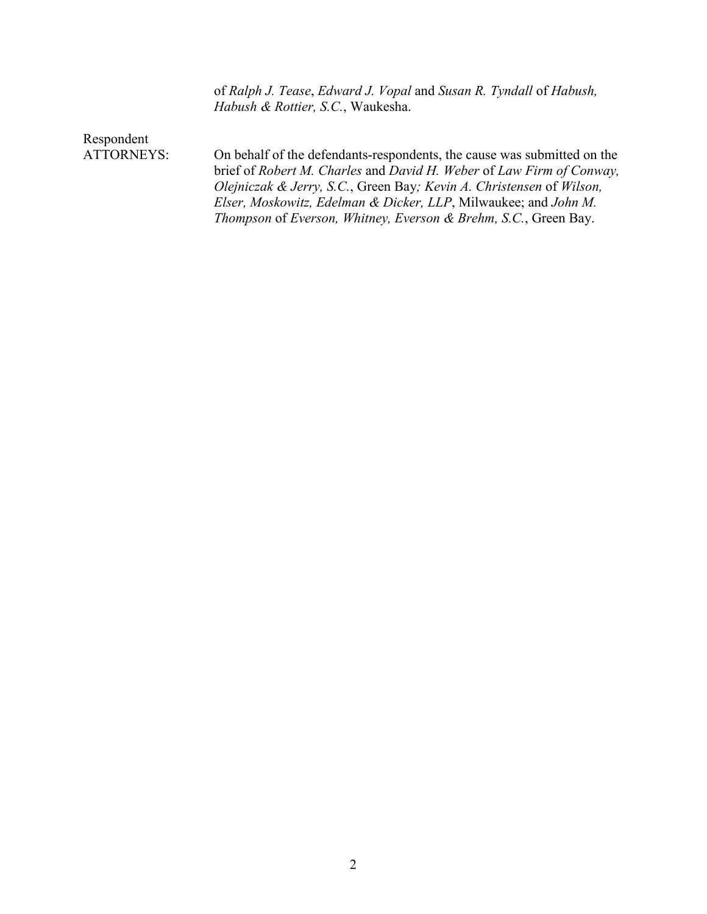of *Ralph J. Tease*, *Edward J. Vopal* and *Susan R. Tyndall* of *Habush, Habush & Rottier, S.C.*, Waukesha.

Respondent<br>ATTORNEYS:

On behalf of the defendants-respondents, the cause was submitted on the brief of *Robert M. Charles* and *David H. Weber* of *Law Firm of Conway, Olejniczak & Jerry, S.C.*, Green Bay*; Kevin A. Christensen* of *Wilson, Elser, Moskowitz, Edelman & Dicker, LLP*, Milwaukee; and *John M. Thompson* of *Everson, Whitney, Everson & Brehm, S.C.*, Green Bay.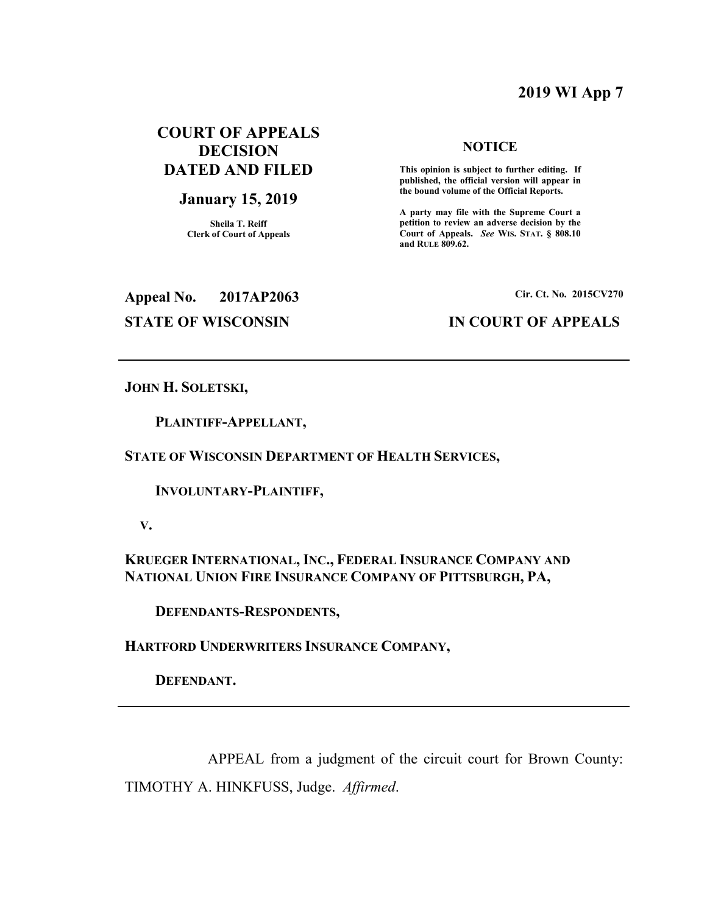# **2019 WI App 7**

# **COURT OF APPEALS DECISION DATED AND FILED**

## **January 15, 2019**

**Sheila T. Reiff Clerk of Court of Appeals** 

### **NOTICE**

 **This opinion is subject to further editing. If published, the official version will appear in the bound volume of the Official Reports.** 

**A party may file with the Supreme Court a petition to review an adverse decision by the Court of Appeals.** *See* **WIS. STAT. § 808.10 and RULE 809.62.** 

**Appeal No. 2017AP2063 Cir. Ct. No. 2015CV270**

# **STATE OF WISCONSIN IN COURT OF APPEALS**

**JOHN H. SOLETSKI,** 

 **PLAINTIFF-APPELLANT,** 

**STATE OF WISCONSIN DEPARTMENT OF HEALTH SERVICES,** 

 **INVOLUNTARY-PLAINTIFF,** 

 **V.** 

**KRUEGER INTERNATIONAL, INC., FEDERAL INSURANCE COMPANY AND NATIONAL UNION FIRE INSURANCE COMPANY OF PITTSBURGH, PA,** 

 **DEFENDANTS-RESPONDENTS,** 

**HARTFORD UNDERWRITERS INSURANCE COMPANY,** 

 **DEFENDANT.** 

 APPEAL from a judgment of the circuit court for Brown County: TIMOTHY A. HINKFUSS, Judge. *Affirmed*.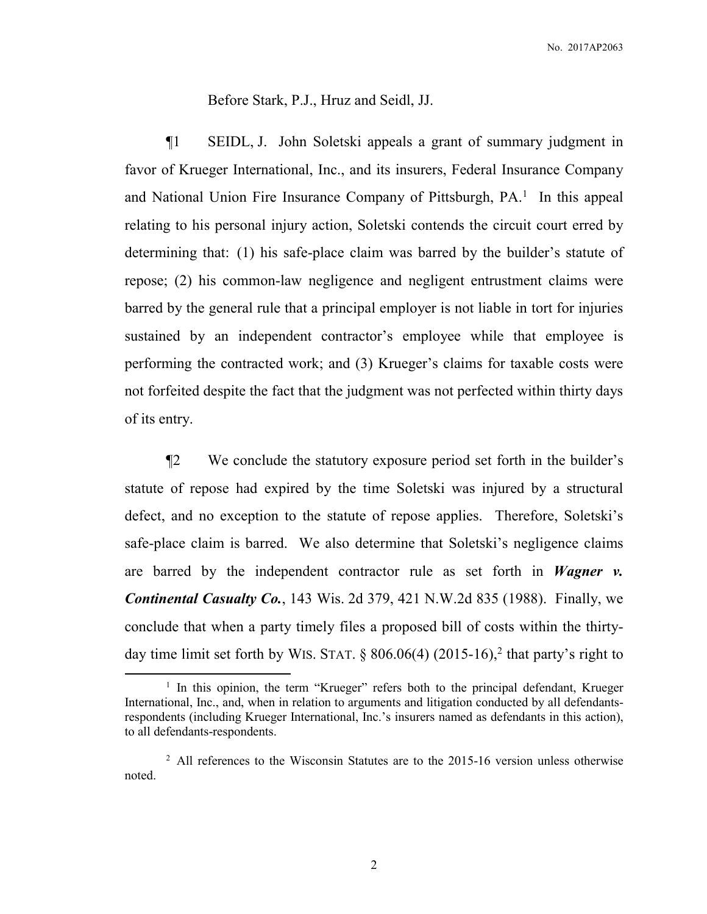Before Stark, P.J., Hruz and Seidl, JJ.

¶1 SEIDL, J. John Soletski appeals a grant of summary judgment in favor of Krueger International, Inc., and its insurers, Federal Insurance Company and National Union Fire Insurance Company of Pittsburgh, PA.<sup>1</sup> In this appeal relating to his personal injury action, Soletski contends the circuit court erred by determining that: (1) his safe-place claim was barred by the builder's statute of repose; (2) his common-law negligence and negligent entrustment claims were barred by the general rule that a principal employer is not liable in tort for injuries sustained by an independent contractor's employee while that employee is performing the contracted work; and (3) Krueger's claims for taxable costs were not forfeited despite the fact that the judgment was not perfected within thirty days of its entry.

¶2 We conclude the statutory exposure period set forth in the builder's statute of repose had expired by the time Soletski was injured by a structural defect, and no exception to the statute of repose applies. Therefore, Soletski's safe-place claim is barred. We also determine that Soletski's negligence claims are barred by the independent contractor rule as set forth in *Wagner v. Continental Casualty Co.*, 143 Wis. 2d 379, 421 N.W.2d 835 (1988). Finally, we conclude that when a party timely files a proposed bill of costs within the thirtyday time limit set forth by WIS. STAT.  $\S$  806.06(4) (2015-16),<sup>2</sup> that party's right to

 $\overline{a}$ 

<sup>&</sup>lt;sup>1</sup> In this opinion, the term "Krueger" refers both to the principal defendant, Krueger International, Inc., and, when in relation to arguments and litigation conducted by all defendantsrespondents (including Krueger International, Inc.'s insurers named as defendants in this action), to all defendants-respondents.

 $2$  All references to the Wisconsin Statutes are to the 2015-16 version unless otherwise noted.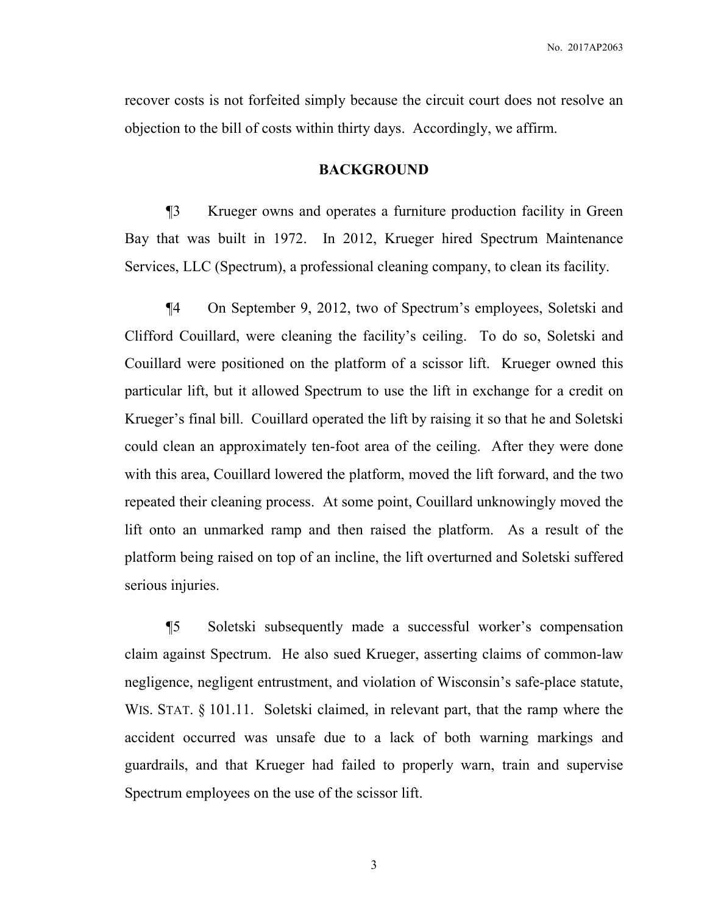recover costs is not forfeited simply because the circuit court does not resolve an objection to the bill of costs within thirty days. Accordingly, we affirm.

## **BACKGROUND**

¶3 Krueger owns and operates a furniture production facility in Green Bay that was built in 1972. In 2012, Krueger hired Spectrum Maintenance Services, LLC (Spectrum), a professional cleaning company, to clean its facility.

¶4 On September 9, 2012, two of Spectrum's employees, Soletski and Clifford Couillard, were cleaning the facility's ceiling. To do so, Soletski and Couillard were positioned on the platform of a scissor lift. Krueger owned this particular lift, but it allowed Spectrum to use the lift in exchange for a credit on Krueger's final bill. Couillard operated the lift by raising it so that he and Soletski could clean an approximately ten-foot area of the ceiling. After they were done with this area, Couillard lowered the platform, moved the lift forward, and the two repeated their cleaning process. At some point, Couillard unknowingly moved the lift onto an unmarked ramp and then raised the platform. As a result of the platform being raised on top of an incline, the lift overturned and Soletski suffered serious injuries.

¶5 Soletski subsequently made a successful worker's compensation claim against Spectrum. He also sued Krueger, asserting claims of common-law negligence, negligent entrustment, and violation of Wisconsin's safe-place statute, WIS. STAT. § 101.11. Soletski claimed, in relevant part, that the ramp where the accident occurred was unsafe due to a lack of both warning markings and guardrails, and that Krueger had failed to properly warn, train and supervise Spectrum employees on the use of the scissor lift.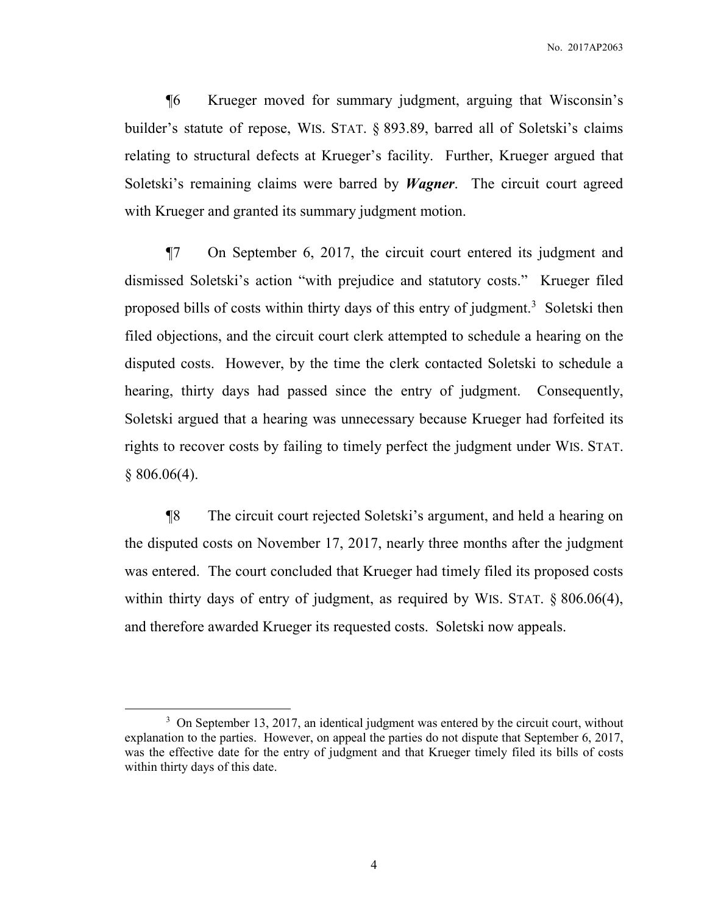¶6 Krueger moved for summary judgment, arguing that Wisconsin's builder's statute of repose, WIS. STAT. § 893.89, barred all of Soletski's claims relating to structural defects at Krueger's facility. Further, Krueger argued that Soletski's remaining claims were barred by *Wagner*. The circuit court agreed with Krueger and granted its summary judgment motion.

¶7 On September 6, 2017, the circuit court entered its judgment and dismissed Soletski's action "with prejudice and statutory costs." Krueger filed proposed bills of costs within thirty days of this entry of judgment.<sup>3</sup> Soletski then filed objections, and the circuit court clerk attempted to schedule a hearing on the disputed costs. However, by the time the clerk contacted Soletski to schedule a hearing, thirty days had passed since the entry of judgment. Consequently, Soletski argued that a hearing was unnecessary because Krueger had forfeited its rights to recover costs by failing to timely perfect the judgment under WIS. STAT.  $§ 806.06(4).$ 

¶8 The circuit court rejected Soletski's argument, and held a hearing on the disputed costs on November 17, 2017, nearly three months after the judgment was entered. The court concluded that Krueger had timely filed its proposed costs within thirty days of entry of judgment, as required by WIS. STAT. § 806.06(4), and therefore awarded Krueger its requested costs. Soletski now appeals.

-

<sup>&</sup>lt;sup>3</sup> On September 13, 2017, an identical judgment was entered by the circuit court, without explanation to the parties. However, on appeal the parties do not dispute that September 6, 2017, was the effective date for the entry of judgment and that Krueger timely filed its bills of costs within thirty days of this date.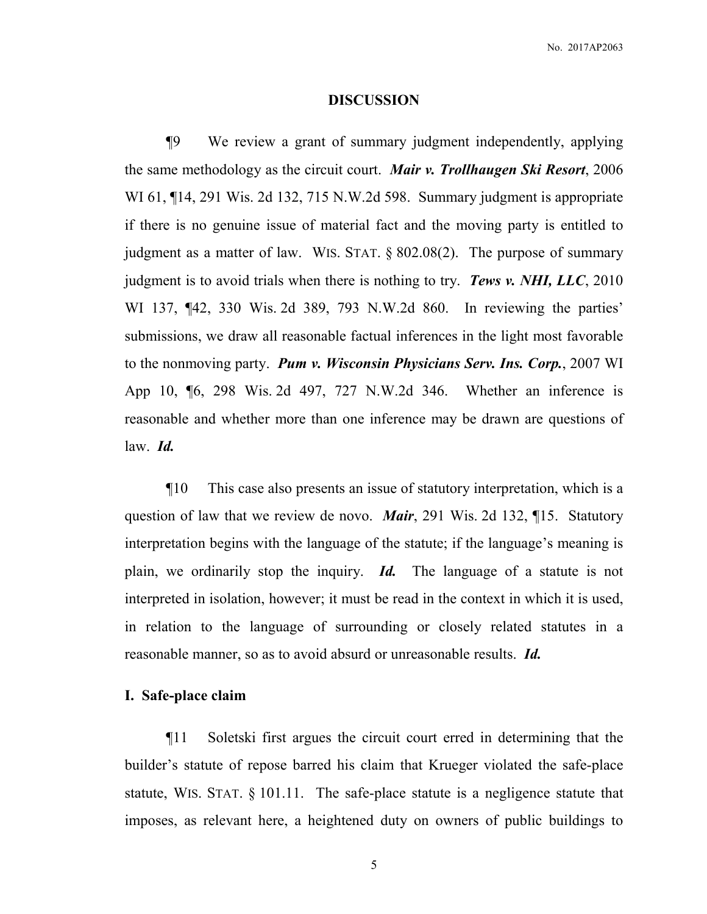### **DISCUSSION**

¶9 We review a grant of summary judgment independently, applying the same methodology as the circuit court. *Mair v. Trollhaugen Ski Resort*, 2006 WI 61, ¶14, 291 Wis. 2d 132, 715 N.W.2d 598. Summary judgment is appropriate if there is no genuine issue of material fact and the moving party is entitled to judgment as a matter of law. WIS. STAT. § 802.08(2). The purpose of summary judgment is to avoid trials when there is nothing to try. *Tews v. NHI, LLC*, 2010 WI 137, ¶42, 330 Wis. 2d 389, 793 N.W.2d 860. In reviewing the parties' submissions, we draw all reasonable factual inferences in the light most favorable to the nonmoving party. *Pum v. Wisconsin Physicians Serv. Ins. Corp.*, 2007 WI App 10, ¶6, 298 Wis. 2d 497, 727 N.W.2d 346. Whether an inference is reasonable and whether more than one inference may be drawn are questions of law. *Id.*

¶10 This case also presents an issue of statutory interpretation, which is a question of law that we review de novo. *Mair*, 291 Wis. 2d 132, ¶15. Statutory interpretation begins with the language of the statute; if the language's meaning is plain, we ordinarily stop the inquiry. *Id.* The language of a statute is not interpreted in isolation, however; it must be read in the context in which it is used, in relation to the language of surrounding or closely related statutes in a reasonable manner, so as to avoid absurd or unreasonable results. *Id.* 

## **I. Safe-place claim**

¶11 Soletski first argues the circuit court erred in determining that the builder's statute of repose barred his claim that Krueger violated the safe-place statute, WIS. STAT. § 101.11. The safe-place statute is a negligence statute that imposes, as relevant here, a heightened duty on owners of public buildings to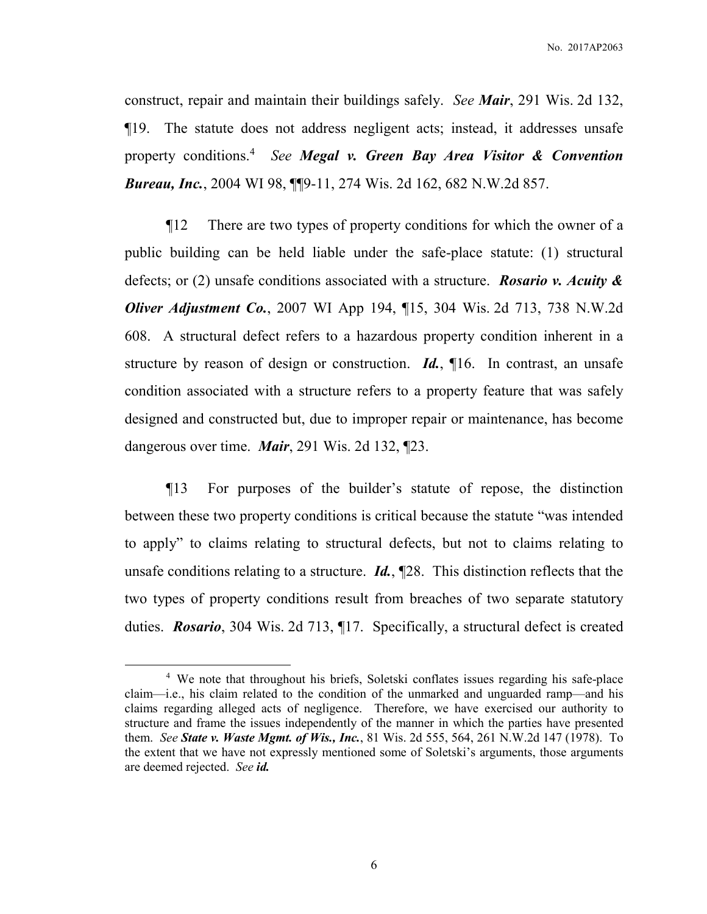No. 2017AP2063

construct, repair and maintain their buildings safely. *See Mair*, 291 Wis. 2d 132, ¶19. The statute does not address negligent acts; instead, it addresses unsafe property conditions.<sup>4</sup> *See Megal v. Green Bay Area Visitor & Convention Bureau, Inc.*, 2004 WI 98, ¶¶9-11, 274 Wis. 2d 162, 682 N.W.2d 857.

¶12 There are two types of property conditions for which the owner of a public building can be held liable under the safe-place statute: (1) structural defects; or (2) unsafe conditions associated with a structure. *Rosario v. Acuity & Oliver Adjustment Co.*, 2007 WI App 194, ¶15, 304 Wis. 2d 713, 738 N.W.2d 608. A structural defect refers to a hazardous property condition inherent in a structure by reason of design or construction. *Id.*, ¶16. In contrast, an unsafe condition associated with a structure refers to a property feature that was safely designed and constructed but, due to improper repair or maintenance, has become dangerous over time. *Mair*, 291 Wis. 2d 132, ¶23.

¶13 For purposes of the builder's statute of repose, the distinction between these two property conditions is critical because the statute "was intended to apply" to claims relating to structural defects, but not to claims relating to unsafe conditions relating to a structure. *Id.*, ¶28. This distinction reflects that the two types of property conditions result from breaches of two separate statutory duties. *Rosario*, 304 Wis. 2d 713, ¶17. Specifically, a structural defect is created

 $\overline{a}$ 

<sup>&</sup>lt;sup>4</sup> We note that throughout his briefs, Soletski conflates issues regarding his safe-place claim—i.e., his claim related to the condition of the unmarked and unguarded ramp—and his claims regarding alleged acts of negligence. Therefore, we have exercised our authority to structure and frame the issues independently of the manner in which the parties have presented them. *See State v. Waste Mgmt. of Wis., Inc.*, 81 Wis. 2d 555, 564, 261 N.W.2d 147 (1978). To the extent that we have not expressly mentioned some of Soletski's arguments, those arguments are deemed rejected. *See id.*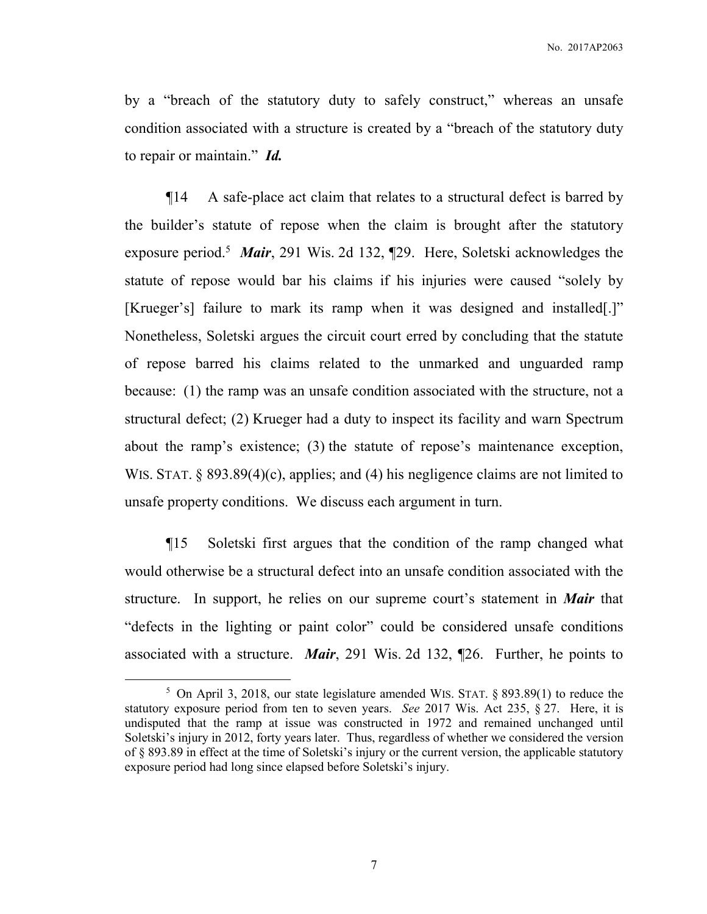by a "breach of the statutory duty to safely construct," whereas an unsafe condition associated with a structure is created by a "breach of the statutory duty to repair or maintain." *Id.*

¶14 A safe-place act claim that relates to a structural defect is barred by the builder's statute of repose when the claim is brought after the statutory exposure period.<sup>5</sup> Mair, 291 Wis. 2d 132, [29. Here, Soletski acknowledges the statute of repose would bar his claims if his injuries were caused "solely by [Krueger's] failure to mark its ramp when it was designed and installed[.]" Nonetheless, Soletski argues the circuit court erred by concluding that the statute of repose barred his claims related to the unmarked and unguarded ramp because: (1) the ramp was an unsafe condition associated with the structure, not a structural defect; (2) Krueger had a duty to inspect its facility and warn Spectrum about the ramp's existence; (3) the statute of repose's maintenance exception, WIS. STAT. § 893.89(4)(c), applies; and (4) his negligence claims are not limited to unsafe property conditions. We discuss each argument in turn.

¶15 Soletski first argues that the condition of the ramp changed what would otherwise be a structural defect into an unsafe condition associated with the structure. In support, he relies on our supreme court's statement in *Mair* that "defects in the lighting or paint color" could be considered unsafe conditions associated with a structure. *Mair*, 291 Wis. 2d 132, ¶26. Further, he points to

 $\overline{a}$ 

<sup>&</sup>lt;sup>5</sup> On April 3, 2018, our state legislature amended WIS. STAT.  $\S$  893.89(1) to reduce the statutory exposure period from ten to seven years. *See* 2017 Wis. Act 235, § 27. Here, it is undisputed that the ramp at issue was constructed in 1972 and remained unchanged until Soletski's injury in 2012, forty years later. Thus, regardless of whether we considered the version of § 893.89 in effect at the time of Soletski's injury or the current version, the applicable statutory exposure period had long since elapsed before Soletski's injury.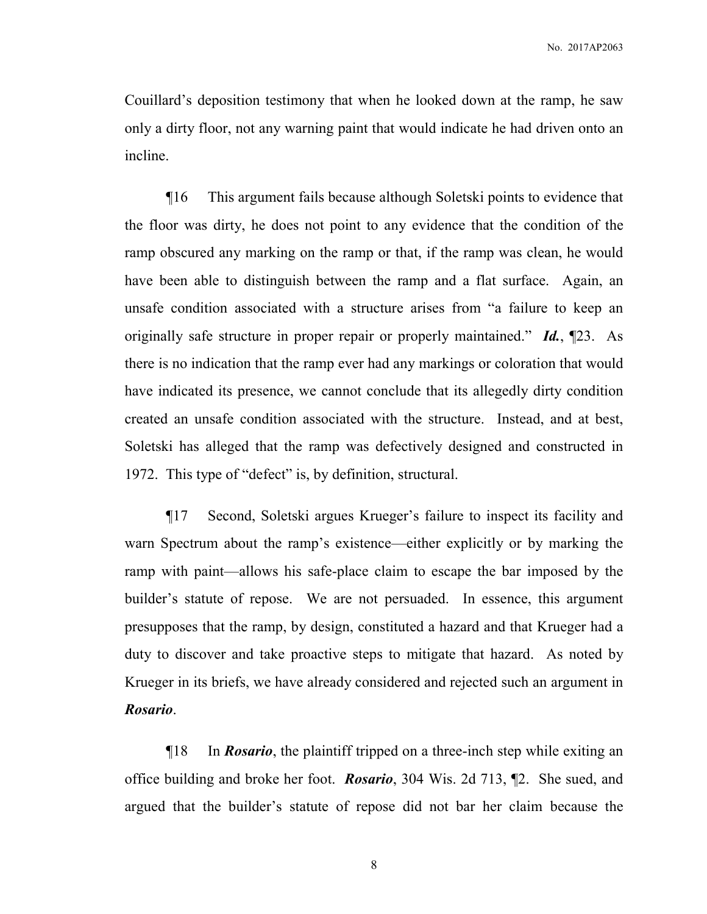Couillard's deposition testimony that when he looked down at the ramp, he saw only a dirty floor, not any warning paint that would indicate he had driven onto an incline.

¶16 This argument fails because although Soletski points to evidence that the floor was dirty, he does not point to any evidence that the condition of the ramp obscured any marking on the ramp or that, if the ramp was clean, he would have been able to distinguish between the ramp and a flat surface. Again, an unsafe condition associated with a structure arises from "a failure to keep an originally safe structure in proper repair or properly maintained." *Id.*, ¶23. As there is no indication that the ramp ever had any markings or coloration that would have indicated its presence, we cannot conclude that its allegedly dirty condition created an unsafe condition associated with the structure. Instead, and at best, Soletski has alleged that the ramp was defectively designed and constructed in 1972. This type of "defect" is, by definition, structural.

¶17 Second, Soletski argues Krueger's failure to inspect its facility and warn Spectrum about the ramp's existence—either explicitly or by marking the ramp with paint—allows his safe-place claim to escape the bar imposed by the builder's statute of repose. We are not persuaded. In essence, this argument presupposes that the ramp, by design, constituted a hazard and that Krueger had a duty to discover and take proactive steps to mitigate that hazard. As noted by Krueger in its briefs, we have already considered and rejected such an argument in *Rosario*.

¶18 In *Rosario*, the plaintiff tripped on a three-inch step while exiting an office building and broke her foot. *Rosario*, 304 Wis. 2d 713, ¶2. She sued, and argued that the builder's statute of repose did not bar her claim because the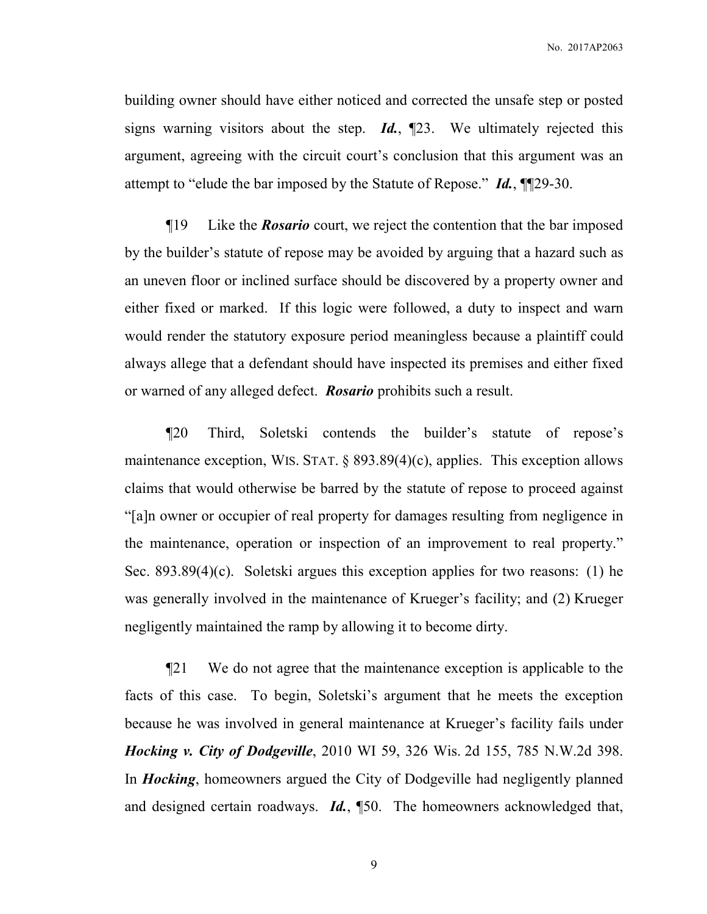building owner should have either noticed and corrected the unsafe step or posted signs warning visitors about the step. *Id.*, ¶23. We ultimately rejected this argument, agreeing with the circuit court's conclusion that this argument was an attempt to "elude the bar imposed by the Statute of Repose." *Id.*, ¶¶29-30.

¶19 Like the *Rosario* court, we reject the contention that the bar imposed by the builder's statute of repose may be avoided by arguing that a hazard such as an uneven floor or inclined surface should be discovered by a property owner and either fixed or marked. If this logic were followed, a duty to inspect and warn would render the statutory exposure period meaningless because a plaintiff could always allege that a defendant should have inspected its premises and either fixed or warned of any alleged defect. *Rosario* prohibits such a result.

¶20 Third, Soletski contends the builder's statute of repose's maintenance exception, WIS. STAT.  $\S$  893.89(4)(c), applies. This exception allows claims that would otherwise be barred by the statute of repose to proceed against "[a]n owner or occupier of real property for damages resulting from negligence in the maintenance, operation or inspection of an improvement to real property." Sec. 893.89(4)(c). Soletski argues this exception applies for two reasons: (1) he was generally involved in the maintenance of Krueger's facility; and (2) Krueger negligently maintained the ramp by allowing it to become dirty.

¶21 We do not agree that the maintenance exception is applicable to the facts of this case. To begin, Soletski's argument that he meets the exception because he was involved in general maintenance at Krueger's facility fails under *Hocking v. City of Dodgeville*, 2010 WI 59, 326 Wis. 2d 155, 785 N.W.2d 398. In *Hocking*, homeowners argued the City of Dodgeville had negligently planned and designed certain roadways. *Id.*, ¶50. The homeowners acknowledged that,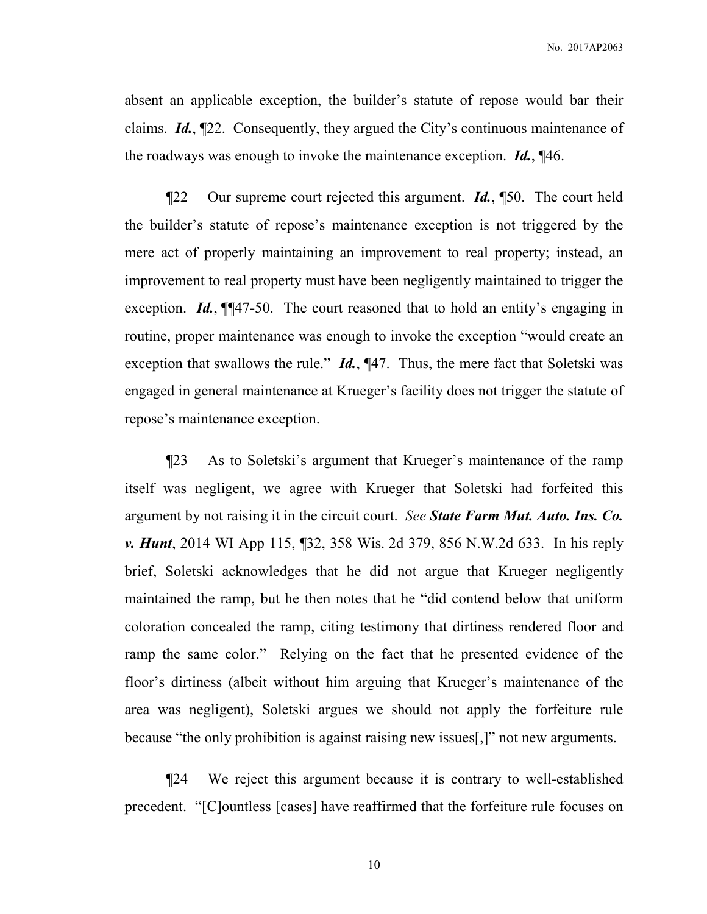absent an applicable exception, the builder's statute of repose would bar their claims. *Id.*, ¶22. Consequently, they argued the City's continuous maintenance of the roadways was enough to invoke the maintenance exception. *Id.*, ¶46.

¶22 Our supreme court rejected this argument. *Id.*, ¶50. The court held the builder's statute of repose's maintenance exception is not triggered by the mere act of properly maintaining an improvement to real property; instead, an improvement to real property must have been negligently maintained to trigger the exception. *Id.*, ¶¶47-50. The court reasoned that to hold an entity's engaging in routine, proper maintenance was enough to invoke the exception "would create an exception that swallows the rule." *Id.*, ¶47. Thus, the mere fact that Soletski was engaged in general maintenance at Krueger's facility does not trigger the statute of repose's maintenance exception.

¶23 As to Soletski's argument that Krueger's maintenance of the ramp itself was negligent, we agree with Krueger that Soletski had forfeited this argument by not raising it in the circuit court. *See State Farm Mut. Auto. Ins. Co. v. Hunt*, 2014 WI App 115, ¶32, 358 Wis. 2d 379, 856 N.W.2d 633. In his reply brief, Soletski acknowledges that he did not argue that Krueger negligently maintained the ramp, but he then notes that he "did contend below that uniform coloration concealed the ramp, citing testimony that dirtiness rendered floor and ramp the same color." Relying on the fact that he presented evidence of the floor's dirtiness (albeit without him arguing that Krueger's maintenance of the area was negligent), Soletski argues we should not apply the forfeiture rule because "the only prohibition is against raising new issues[,]" not new arguments.

¶24 We reject this argument because it is contrary to well-established precedent. "[C]ountless [cases] have reaffirmed that the forfeiture rule focuses on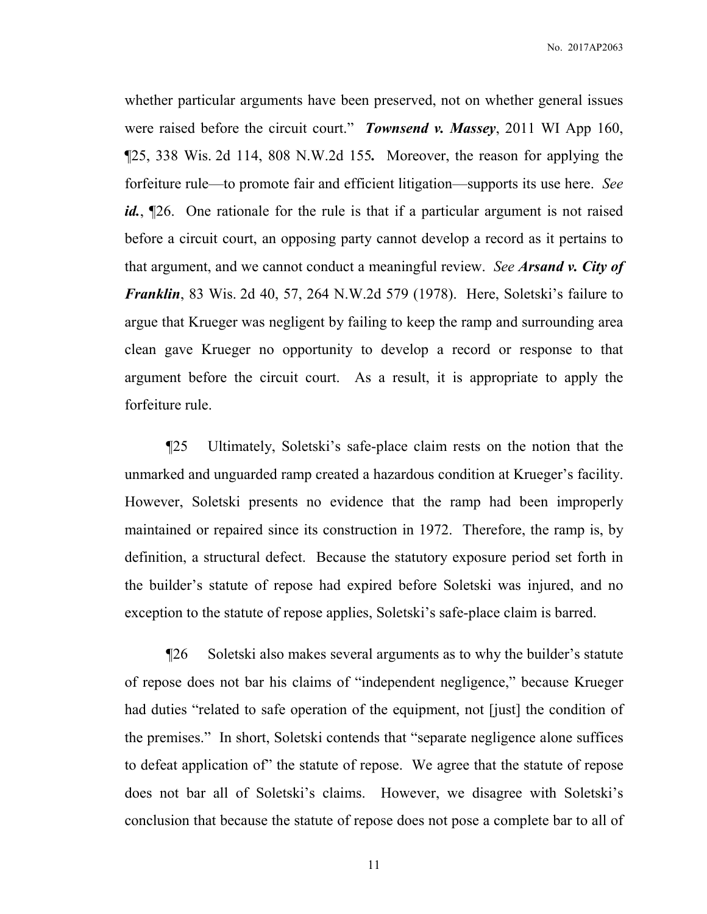whether particular arguments have been preserved, not on whether general issues were raised before the circuit court." *Townsend v. Massey*, 2011 WI App 160, ¶25, 338 Wis. 2d 114, 808 N.W.2d 155*.* Moreover, the reason for applying the forfeiture rule—to promote fair and efficient litigation—supports its use here. *See*  id., [26. One rationale for the rule is that if a particular argument is not raised before a circuit court, an opposing party cannot develop a record as it pertains to that argument, and we cannot conduct a meaningful review. *See Arsand v. City of Franklin*, 83 Wis. 2d 40, 57, 264 N.W.2d 579 (1978). Here, Soletski's failure to argue that Krueger was negligent by failing to keep the ramp and surrounding area clean gave Krueger no opportunity to develop a record or response to that argument before the circuit court. As a result, it is appropriate to apply the forfeiture rule.

¶25 Ultimately, Soletski's safe-place claim rests on the notion that the unmarked and unguarded ramp created a hazardous condition at Krueger's facility. However, Soletski presents no evidence that the ramp had been improperly maintained or repaired since its construction in 1972. Therefore, the ramp is, by definition, a structural defect. Because the statutory exposure period set forth in the builder's statute of repose had expired before Soletski was injured, and no exception to the statute of repose applies, Soletski's safe-place claim is barred.

¶26 Soletski also makes several arguments as to why the builder's statute of repose does not bar his claims of "independent negligence," because Krueger had duties "related to safe operation of the equipment, not [just] the condition of the premises." In short, Soletski contends that "separate negligence alone suffices to defeat application of" the statute of repose. We agree that the statute of repose does not bar all of Soletski's claims. However, we disagree with Soletski's conclusion that because the statute of repose does not pose a complete bar to all of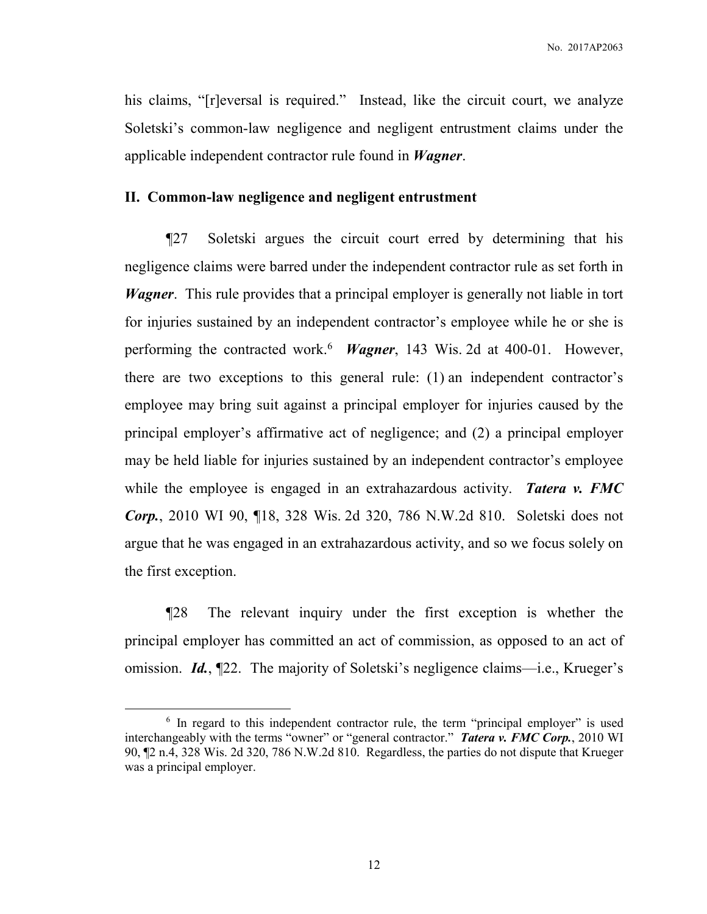his claims, "[r]eversal is required." Instead, like the circuit court, we analyze Soletski's common-law negligence and negligent entrustment claims under the applicable independent contractor rule found in *Wagner*.

# **II. Common-law negligence and negligent entrustment**

¶27 Soletski argues the circuit court erred by determining that his negligence claims were barred under the independent contractor rule as set forth in *Wagner*. This rule provides that a principal employer is generally not liable in tort for injuries sustained by an independent contractor's employee while he or she is performing the contracted work.<sup>6</sup> *Wagner*, 143 Wis. 2d at 400-01. However, there are two exceptions to this general rule: (1) an independent contractor's employee may bring suit against a principal employer for injuries caused by the principal employer's affirmative act of negligence; and (2) a principal employer may be held liable for injuries sustained by an independent contractor's employee while the employee is engaged in an extrahazardous activity. *Tatera v. FMC Corp.*, 2010 WI 90, ¶18, 328 Wis. 2d 320, 786 N.W.2d 810. Soletski does not argue that he was engaged in an extrahazardous activity, and so we focus solely on the first exception.

¶28 The relevant inquiry under the first exception is whether the principal employer has committed an act of commission, as opposed to an act of omission. *Id.*, ¶22. The majority of Soletski's negligence claims—i.e., Krueger's

-

<sup>&</sup>lt;sup>6</sup> In regard to this independent contractor rule, the term "principal employer" is used interchangeably with the terms "owner" or "general contractor." *Tatera v. FMC Corp.*, 2010 WI 90, ¶2 n.4, 328 Wis. 2d 320, 786 N.W.2d 810. Regardless, the parties do not dispute that Krueger was a principal employer.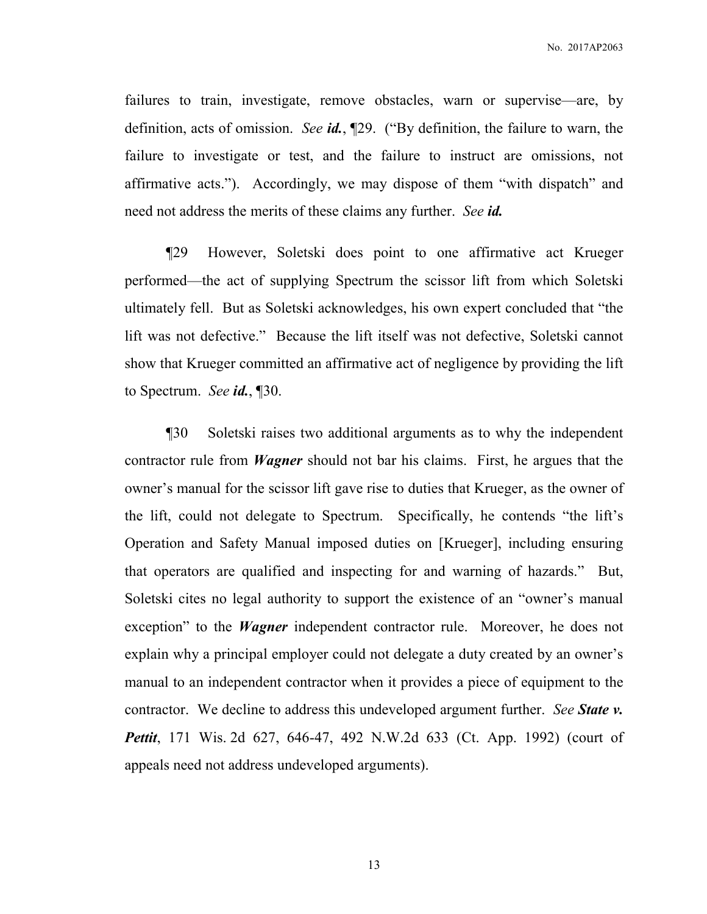failures to train, investigate, remove obstacles, warn or supervise—are, by definition, acts of omission. *See id.*, ¶29. ("By definition, the failure to warn, the failure to investigate or test, and the failure to instruct are omissions, not affirmative acts."). Accordingly, we may dispose of them "with dispatch" and need not address the merits of these claims any further. *See id.* 

¶29 However, Soletski does point to one affirmative act Krueger performed—the act of supplying Spectrum the scissor lift from which Soletski ultimately fell. But as Soletski acknowledges, his own expert concluded that "the lift was not defective." Because the lift itself was not defective, Soletski cannot show that Krueger committed an affirmative act of negligence by providing the lift to Spectrum. *See id.*, ¶30.

¶30 Soletski raises two additional arguments as to why the independent contractor rule from *Wagner* should not bar his claims. First, he argues that the owner's manual for the scissor lift gave rise to duties that Krueger, as the owner of the lift, could not delegate to Spectrum. Specifically, he contends "the lift's Operation and Safety Manual imposed duties on [Krueger], including ensuring that operators are qualified and inspecting for and warning of hazards." But, Soletski cites no legal authority to support the existence of an "owner's manual exception" to the *Wagner* independent contractor rule. Moreover, he does not explain why a principal employer could not delegate a duty created by an owner's manual to an independent contractor when it provides a piece of equipment to the contractor. We decline to address this undeveloped argument further. *See State v. Pettit*, 171 Wis. 2d 627, 646-47, 492 N.W.2d 633 (Ct. App. 1992) (court of appeals need not address undeveloped arguments).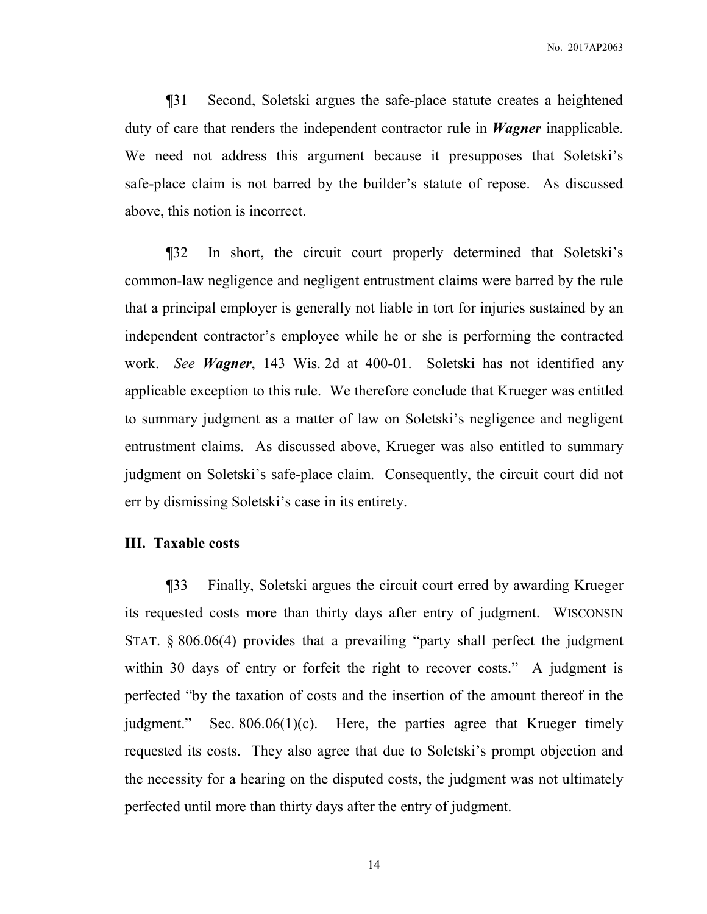¶31 Second, Soletski argues the safe-place statute creates a heightened duty of care that renders the independent contractor rule in *Wagner* inapplicable. We need not address this argument because it presupposes that Soletski's safe-place claim is not barred by the builder's statute of repose. As discussed above, this notion is incorrect.

¶32 In short, the circuit court properly determined that Soletski's common-law negligence and negligent entrustment claims were barred by the rule that a principal employer is generally not liable in tort for injuries sustained by an independent contractor's employee while he or she is performing the contracted work. *See Wagner*, 143 Wis. 2d at 400-01. Soletski has not identified any applicable exception to this rule. We therefore conclude that Krueger was entitled to summary judgment as a matter of law on Soletski's negligence and negligent entrustment claims. As discussed above, Krueger was also entitled to summary judgment on Soletski's safe-place claim. Consequently, the circuit court did not err by dismissing Soletski's case in its entirety.

### **III. Taxable costs**

¶33 Finally, Soletski argues the circuit court erred by awarding Krueger its requested costs more than thirty days after entry of judgment. WISCONSIN STAT. § 806.06(4) provides that a prevailing "party shall perfect the judgment within 30 days of entry or forfeit the right to recover costs." A judgment is perfected "by the taxation of costs and the insertion of the amount thereof in the judgment." Sec. 806.06(1)(c). Here, the parties agree that Krueger timely requested its costs. They also agree that due to Soletski's prompt objection and the necessity for a hearing on the disputed costs, the judgment was not ultimately perfected until more than thirty days after the entry of judgment.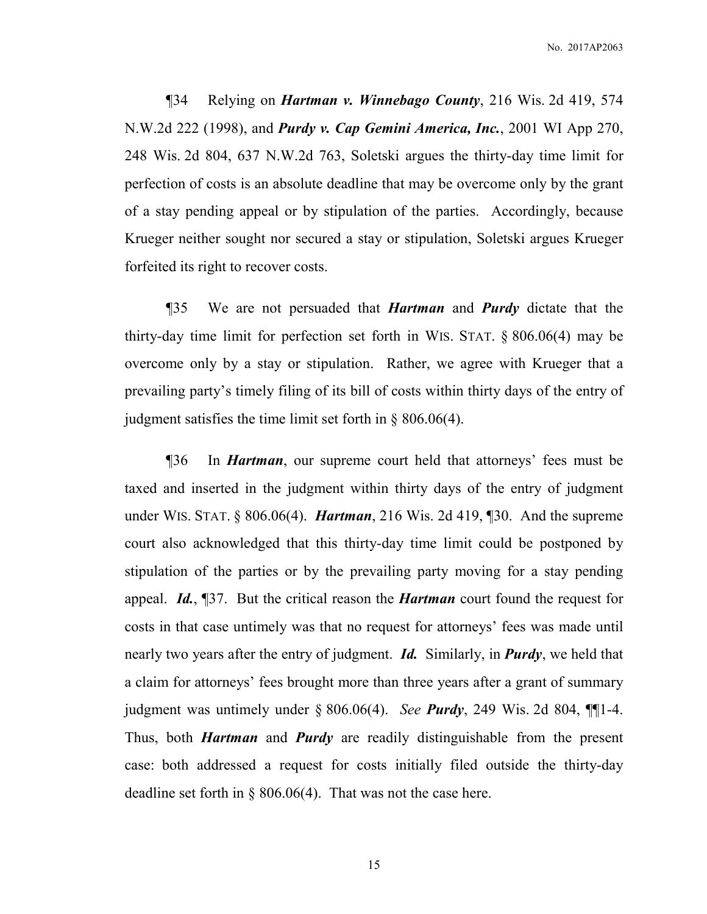¶34 Relying on *Hartman v. Winnebago County*, 216 Wis. 2d 419, 574 N.W.2d 222 (1998), and *Purdy v. Cap Gemini America, Inc.*, 2001 WI App 270, 248 Wis. 2d 804, 637 N.W.2d 763, Soletski argues the thirty-day time limit for perfection of costs is an absolute deadline that may be overcome only by the grant of a stay pending appeal or by stipulation of the parties. Accordingly, because Krueger neither sought nor secured a stay or stipulation, Soletski argues Krueger forfeited its right to recover costs.

¶35 We are not persuaded that *Hartman* and *Purdy* dictate that the thirty-day time limit for perfection set forth in WIS. STAT. § 806.06(4) may be overcome only by a stay or stipulation. Rather, we agree with Krueger that a prevailing party's timely filing of its bill of costs within thirty days of the entry of judgment satisfies the time limit set forth in § 806.06(4).

¶36 In *Hartman*, our supreme court held that attorneys' fees must be taxed and inserted in the judgment within thirty days of the entry of judgment under WIS. STAT. § 806.06(4). *Hartman*, 216 Wis. 2d 419, ¶30. And the supreme court also acknowledged that this thirty-day time limit could be postponed by stipulation of the parties or by the prevailing party moving for a stay pending appeal. *Id.*, ¶37.But the critical reason the *Hartman* court found the request for costs in that case untimely was that no request for attorneys' fees was made until nearly two years after the entry of judgment. *Id.* Similarly, in *Purdy*, we held that a claim for attorneys' fees brought more than three years after a grant of summary judgment was untimely under § 806.06(4). *See Purdy*, 249 Wis. 2d 804, ¶¶1-4. Thus, both *Hartman* and *Purdy* are readily distinguishable from the present case: both addressed a request for costs initially filed outside the thirty-day deadline set forth in  $\S$  806.06(4). That was not the case here.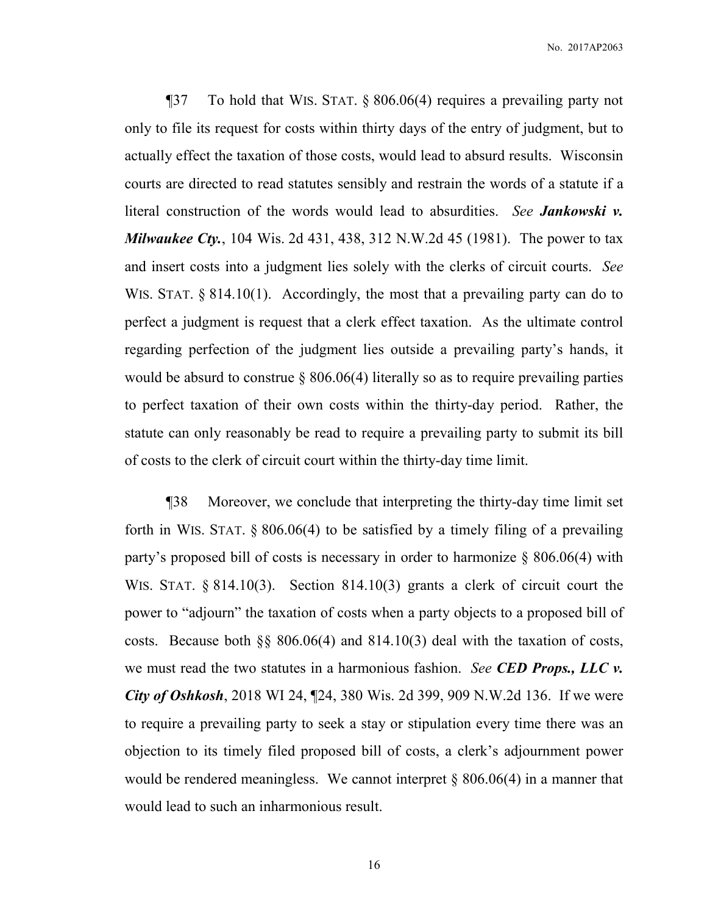¶37 To hold that WIS. STAT. § 806.06(4) requires a prevailing party not only to file its request for costs within thirty days of the entry of judgment, but to actually effect the taxation of those costs, would lead to absurd results. Wisconsin courts are directed to read statutes sensibly and restrain the words of a statute if a literal construction of the words would lead to absurdities. *See Jankowski v. Milwaukee Cty.*, 104 Wis. 2d 431, 438, 312 N.W.2d 45 (1981). The power to tax and insert costs into a judgment lies solely with the clerks of circuit courts. *See*  WIS. STAT. § 814.10(1). Accordingly, the most that a prevailing party can do to perfect a judgment is request that a clerk effect taxation. As the ultimate control regarding perfection of the judgment lies outside a prevailing party's hands, it would be absurd to construe  $\S 806.06(4)$  literally so as to require prevailing parties to perfect taxation of their own costs within the thirty-day period. Rather, the statute can only reasonably be read to require a prevailing party to submit its bill of costs to the clerk of circuit court within the thirty-day time limit.

¶38 Moreover, we conclude that interpreting the thirty-day time limit set forth in WIS. STAT.  $\S 806.06(4)$  to be satisfied by a timely filing of a prevailing party's proposed bill of costs is necessary in order to harmonize § 806.06(4) with WIS. STAT. § 814.10(3). Section 814.10(3) grants a clerk of circuit court the power to "adjourn" the taxation of costs when a party objects to a proposed bill of costs. Because both §§ 806.06(4) and 814.10(3) deal with the taxation of costs, we must read the two statutes in a harmonious fashion. *See CED Props., LLC v. City of Oshkosh*, 2018 WI 24, ¶24, 380 Wis. 2d 399, 909 N.W.2d 136. If we were to require a prevailing party to seek a stay or stipulation every time there was an objection to its timely filed proposed bill of costs, a clerk's adjournment power would be rendered meaningless. We cannot interpret  $\S 806.06(4)$  in a manner that would lead to such an inharmonious result.